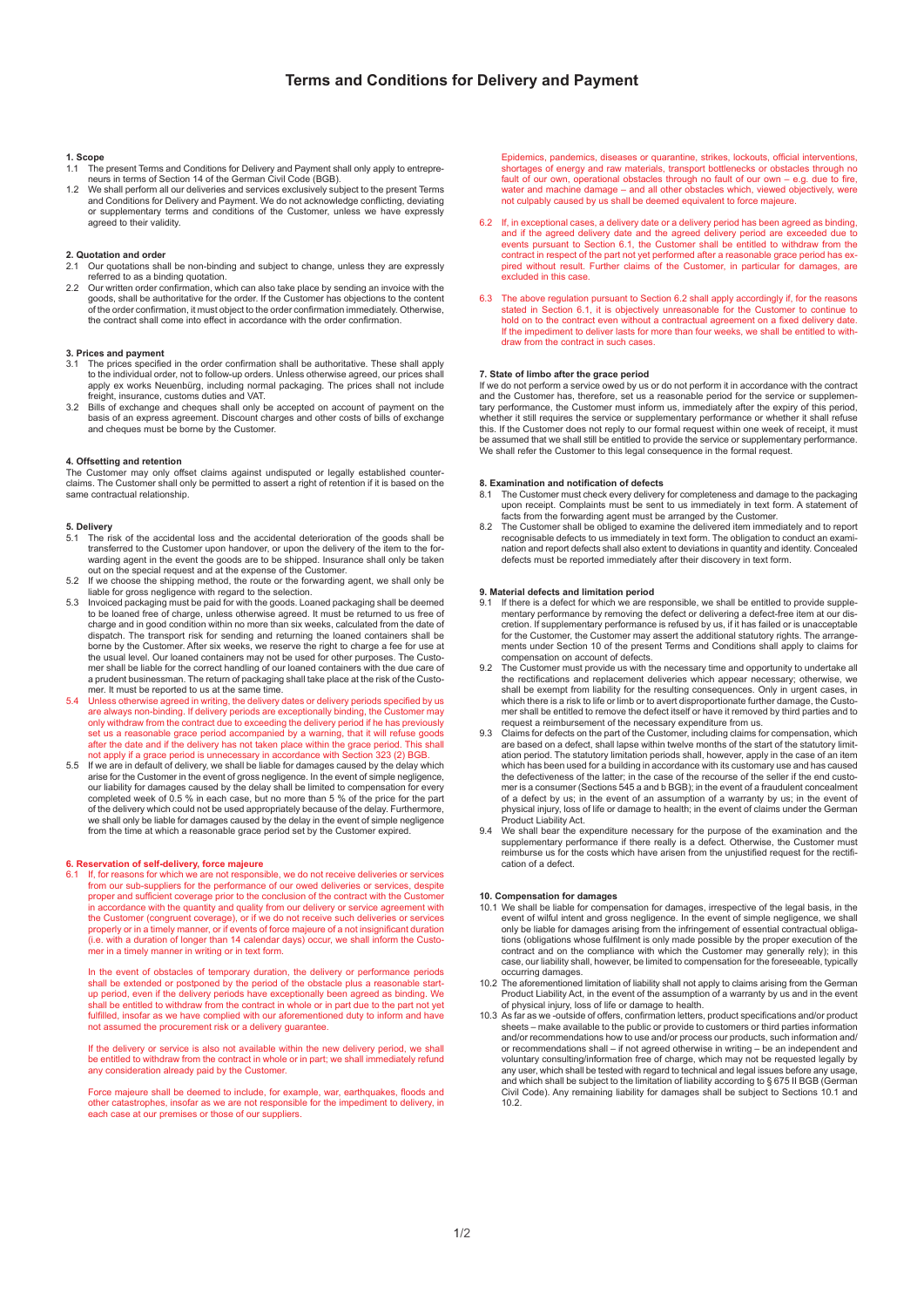# **1. Scope**

- 1.1 The present Terms and Conditions for Delivery and Payment shall only apply to entrepre-neurs in terms of Section 14 of the German Civil Code (BGB).
- 1.2 We shall perform all our deliveries and services exclusively subject to the present Terms and Conditions for Delivery and Payment. We do not acknowledge conflicting, deviating or supplementary terms and conditions of the Customer, unless we have expressly agreed to their validity.

# **2. Quotation and order**

- 2.1 Our quotations shall be non-binding and subject to change, unless they are expressly
- referred to as a binding quotation. 2.2 Our written order confirmation, which can also take place by sending an invoice with the goods, shall be authoritative for the order. If the Customer has objections to the content of the order confirmation, it must object to the order confirmation immediately. Otherwise, the contract shall come into effect in accordance with the order confirmation.

# **3. Prices and payment**

- 3.1 The prices specified in the order confirmation shall be authoritative. These shall apply to the individual order, not to follow-up orders. Unless otherwise agreed, our prices shall apply ex works Neuenbürg, including normal packaging. The prices shall not include freight, insurance, customs duties and VAT.
- 3.2 Bills of exchange and cheques shall only be accepted on account of payment on the basis of an express agreement. Discount charges and other costs of bills of exchange and cheques must be borne by the Customer.

### **4. Offsetting and retention**

The Customer may only offset claims against undisputed or legally established counter-claims. The Customer shall only be permitted to assert a right of retention if it is based on the same contractual relationship.

- **5. Delivery**  5.1 The risk of the accidental loss and the accidental deterioration of the goods shall be transferred to the Customer upon handover, or upon the delivery of the item to the for- warding agent in the event the goods are to be shipped. Insurance shall only be taken out on the special request and at the expense of the Customer.
- 5.2 If we choose the shipping method, the route or the forwarding agent, we shall only be If we choose the employ method, the reate of the reference is also that the selection.
- 5.3 Invoiced packaging must be paid for with the goods. Loaned packaging shall be deemed to be loaned free of charge, unless otherwise agreed. It must be returned to us free of charge and in good condition within no more than six weeks, calculated from the date of<br>dispatch. The transport risk for sending and returning the Ioaned containers shall be<br>borne by the Customer. After six weeks, we reser the usual level. Our loaned containers may not be used for other purposes. The Customer shall be liable for the correct handling of our loaned containers with the due care of a prudent businessman. The return of packaging shall take place at the risk of the Custo mer. It must be reported to us at the same time.<br>5.4 Linless otherwise agreed in writing the delivery
- 5.4 Unless otherwise agreed in writing, the delivery dates or delivery periods specified by us are always non-binding. If delivery periods are exceptionally binding, the Customer may only withdraw from the contract due to exceeding the delivery period if he has previously set us a reasonable grace period accompanied by a warning, that it will refuse goods after the date and if the delivery has not taken place within the grace period. This shall not apply if a grace period is unnecessary in accordance with Section 323 (2) BGB.
- 5.5 If we are in default of delivery, we shall be liable for damages caused by the delay which<br>arise for the Customer in the event of gross negligence. In the event of simple negligence, our liability for damages caused by the delay shall be limited to compensation for every completed week of 0.5 % in each case, but no more than 5 % of the price for the part of the delivery which could not be used appropriately because of the delay. Furthermore, we shall only be liable for damages caused by the delay in the event of simple negligence from the time at which a reasonable grace period set by the Customer expired.

## **6. Reservation of self-delivery, force majeure**

If, for reasons for which we are not responsible, we do not receive deliveries or services from our sub-suppliers for the performance of our owed deliveries or services, despite proper and sufficient coverage prior to the conclusion of the contract with the Customer in accordance with the quantity and quality from our delivery or service agreement with the Customer (congruent coverage), or if we do not receive such deliveries or services properly or in a timely manner, or if events of force majeure of a not insignificant duration (i.e. with a duration of longer than 14 calendar days) occur, we shall inform the Customer in a timely manner in writing or in text form.

In the event of obstacles of temporary duration, the delivery or performance periods shall be extended or postponed by the period of the obstacle plus a reasonable start- up period, even if the delivery periods have exceptionally been agreed as binding. We shall be entitled to withdraw from the contract in whole or in part due to the part not yet fulfilled, insofar as we have complied with our aforementioned duty to inform and have not assumed the procurement risk or a delivery guarantee.

 If the delivery or service is also not available within the new delivery period, we shall be entitled to withdraw from the contract in whole or in part; we shall immediately refund any consideration already paid by the Customer.

 Force majeure shall be deemed to include, for example, war, earthquakes, floods and other catastrophes, insofar as we are not responsible for the impediment to delivery, in each case at our premises or those of our suppliers.

 Epidemics, pandemics, diseases or quarantine, strikes, lockouts, official interventions, shortages of energy and raw materials, transport bottlenecks or obstacles through no<br>fault of our own, operational obstacles through no fault of our own – e.g. due to fire, water and machine damage – and all other obstacles which, viewed objectively, were not culpably caused by us shall be deemed equivalent to force majeure.

- 6.2 If, in exceptional cases, a delivery date or a delivery period has been agreed as binding, and if the agreed delivery date and the agreed delivery period are exceeded due to events pursuant to Section 6.1, the Customer shall be entitled to withdraw from the contract in respect of the part not yet performed after a reasonable grace period has ex- pired without result. Further claims of the Customer, in particular for damages, are excluded in this case.
- 6.3 The above regulation pursuant to Section 6.2 shall apply accordingly if, for the reasons<br>stated in Section 6.1, it is objectively unreasonable for the Customer to continue to<br>hold on to the contract even without a cont draw from the contract in such cases.

## **7. State of limbo after the grace period**

If we do not perform a service owed by us or do not perform it in accordance with the contract and the Customer has, therefore, set us a reasonable period for the service or supplementary performance, the Customer must inform us, immediately after the expiry of this period, whether it still requires the service or supplementary performance or whether it shall refuse this. If the Customer does not reply to our formal request within one week of receipt, it must be assumed that we shall still be entitled to provide the service or supplementary performance. We shall refer the Customer to this legal consequence in the formal request.

# **8. Examination and notification of defects**

- 8.1 The Customer must check every delivery for completeness and damage to the packaging<br>upon receipt. Complaints must be sent to us immediately in text form. A statement of<br>facts from the forwarding agent must be arranged
- recognisable defects to us immediately in text form. The obligation to conduct an examination and report defects shall also extent to deviations in quantity and identity. Concealed defects must be reported immediately after their discovery in text form.

# **9. Material defects and limitation period**

- 9.1 If there is a defect for which we are responsible, we shall be entitled to provide supplementary performance by removing the defect or delivering a defect-free item at our discretion. If supplementary performance is refused by us, if it has failed or is unacceptable<br>for the Customer, the Customer may assert the additional statutory rights. The arrange-<br>ments under Section 10 of the present Term compensation on account of defects.<br>The Customer must provide us with the necessary time and opportunity to undertake all
- 9.2 The Customer must provide us with the necessary time and opportunity to undertake all<br>the rectifications and replacement deliveries which appear necessary; otherwise, we<br>shall be exempt from liability for the resulting request a reimbursement of the necessary expenditure from us.
- 9.3 Claims for defects on the part of the Customer, including claims for compensation, which are based on a defect, shall lapse within twelve months of the start of the statutory limit- ation period. The statutory limitation periods shall, however, apply in the case of an item which has been used for a building in accordance with its customary use and has caused the defectiveness of the latter; in the case of the recourse of the seller if the end customer is a consumer (Sections 545 a and b BGB); in the event of a fraudulent concealment of a defect by us; in the event of an assumption of a warranty by us; in the event of physical injury, loss of life or damage to health; in the event of claims under the German Product Liability Act.
- 9.4 We shall bear the expenditure necessary for the purpose of the examination and the supplementary performance if there really is a defect. Otherwise, the Customer must reimburse us for the costs which have arisen from the unjustified request for the rectification of a defect.

- **10. Compensation for damages**<br>10.1 We shall be liable for compensation for damages, irrespective of the legal basis, in the event of wilful intent and gross negligence. In the event of simple negligence, we shall only be liable for damages arising from the infringement of essential contractual obliga tions (obligations whose fulfilment is only made possible by the proper execution of the<br>contract and on the compliance with which the Customer may generally rely); in this<br>case, our liability shall, however, be limited to occurring damages.
- 10.2 The aforementioned limitation of liability shall not apply to claims arising from the German Product Liability Act, in the event of the assumption of a warranty by us and in the event
- of physical injury, loss of life or damage to health.<br>10.3 As far as we -outside of offers, confirmation letters, product specifications and/or product sheets – make available to the public or provide to customers or third parties information and/or recommendations how to use and/or process our products, such information and/ or recommendations shall – if not agreed otherwise in writing – be an independent and voluntary consulting/information free of charge, which may not be requested legally by any user, which shall be tested with regard to technical and legal issues before any usage, and which shall be subject to the limitation of liability according to § 675 II BGB (German Civil Code). Any remaining liability for damages shall be subject to Sections 10.1 and 10.2.